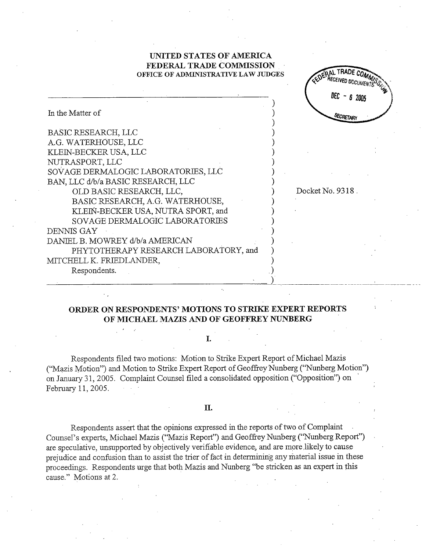# UNITED STATES OF AMERICA FEDERAL TRADE COMMISSION OFFICE OF ADMINISTRATIVE LAW JUDGES

Docket No. 9318 .

EDERAL TRADE RECEIVED DOCUM

 $DEC - 6 2005$ 

SECRETARY

| In the Matter of                      |  |
|---------------------------------------|--|
|                                       |  |
| <b>BASIC RESEARCH, LLC</b>            |  |
| A.G. WATERHOUSE, LLC                  |  |
| KLEIN-BECKER USA, LLC                 |  |
| NUTRASPORT, LLC                       |  |
| SOVAGE DERMALOGIC LABORATORIES, LLC   |  |
| BAN, LLC d/b/a BASIC RESEARCH, LLC    |  |
| OLD BASIC RESEARCH, LLC,              |  |
| BASIC RESEARCH, A.G. WATERHOUSE,      |  |
| KLEIN-BECKER USA, NUTRA SPORT, and    |  |
| SOVAGE DERMALOGIC LABORATORIES        |  |
| DENNIS GAY                            |  |
| DANIEL B. MOWREY d/b/a AMERICAN       |  |
| PHYTOTHERAPY RESEARCH LABORATORY, and |  |
| MITCHELL K. FRIEDLANDER,              |  |
| Respondents.                          |  |

# ORDER ON RESPONDENTS' MOTIONS TO STRIKE EXPERT REPORTS OF MICHAEL MAZIS AND OF GEOFFREY NUNBERG

#### I.

Respondents filed two motions: Motion to Strike Expert Report of Michael Mazis ("Mazis Motion") and Motion to Strike Expert Report of Geoffrey Nunberg ("Nunberg Motion") on January 31, 2005. Complaint Counsel filed a consolidated opposition ("Opposition") on February 11, 2005.

### II.

Respondents assert that the opinions expressed in the reports of two of Complaint Counsel's experts, Michael Mazis ("Mazis Report") and Geoffrey Nunberg ("Nunberg Report") are speculative, unsupported by objectively verifiable evidence, and are more likely to cause prejudice and confusion than to assist the trier of fact in determining any material issue in these proceedings. Respondents urge that both Mazis and Nunberg "be stricken as an expert in this cause." Motions at 2.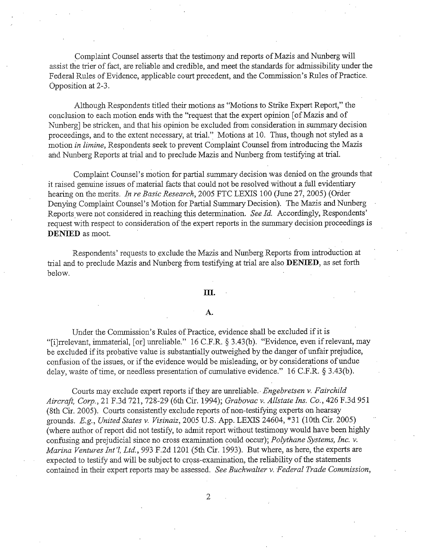Complaint Counsel asserts that the testimony and reports of Mazis and Nunberg will assist the trier of fact, are reliable and credible, and meet the standards for admissibility under the Federal Rules of Evidence, applicable court precedent, and the Commission's Rules of Practice. Opposition at 2-

Although Respondents titled their motions as "Motions to Strike Expert Report," the conclusion to each motion ends with the "request that the expert opinion [of Mazis and of Nunberg] be stricken, and that his opinion be excluded from consideration in summary decision proceedings, and to the extent necessary, at trial." Motions at 10. Thus, though not styled as a motion in limine, Respondents seek to prevent Complaint Counsel from introducing the Mazis and Nunberg Reports at trial and to preclude Mazis and Nunberg from testifying at trial.

Complaint Counsel's motion for partial summary decision was denied on the grounds that it raised genuine issues of material facts that could not be resolved without a full evidentiar hearing on the merits. In re Basic Research, 2005 FTC LEXIS 100 (June 27, 2005) (Order Denying Complaint Counsel's Motion for Partial Summary Decision). The Mazis and Nunberg Reports were not considered in reaching this determination. See Id. Accordingly, Respondents' request with respect to consideration of the expert reports in the summary decision proceedings is DENIED as moot.

Respondents' requests to exclude the Mazis and Nunberg Reports from introduction at trial and to preclude Mazis and Nunberg from testifying at trial are also DENIED, as set forth below.

## III.

#### А.

Under the Commission's Rules of Practice, evidence shall be excluded if it is "[i]rrelevant, immaterial, [or] unreliable." 16 C.F.R. § 3.43(b). "Evidence, even if relevant, may be excluded if its probative value is substantially outweighed by the danger of unfair prejudice, confusion of the issues, or if the evidence would be misleading, or by considerations of undue delay, waste of time, or needless presentation of cumulative evidence."  $16$  C.F.R. § 3.43(b).

Courts may exclude expert reports if they are unreliable. *Engebretsen v. Fairchild* Aircraft, Corp., 21 F.3d 721, 728-29 (6th Cir. 1994); Grabovac v. Allstate Ins. Co., 426 F.3d 951 (8th Cir. 2005). Courts consistently exclude reports of non-testifying experts on hearsay grounds. E.g., United States v. Visinaiz, 2005 U.S. App. LEXIS 24604, \*31 (10th Cir. 2005) (where author of report did not testify, to admit report without testimony would have been highly confusing and prejudicial since no cross examination could occur); Polythane Systems, Inc. v. Marina Ventures Int'l, Ltd., 993 F.2d 1201 (5th Cir. 1993). But where, as here, the experts are expected to testify and will be subject to cross-examination, the reliability of the statements contained in their expert reports may be assessed. See Buchwalter v. Federal Trade Commission,

 $\overline{2}$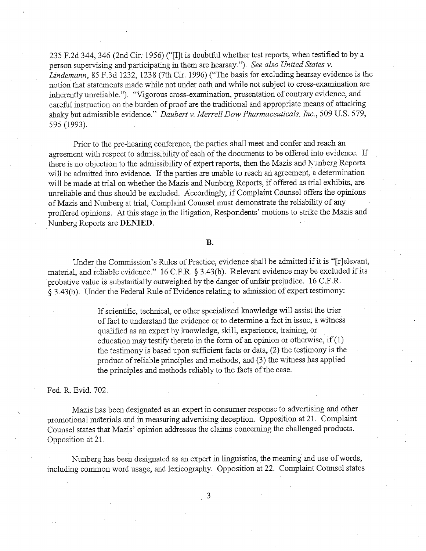235 F.2d 344 346 (2nd Cir. 1956) ("(IJt is doubtful whether test reports, when testified to by a person supervising and participating in them are hearsay."). See also United States v. Lindemann, 85 F.3d 1232, 1238 (7th Cir. 1996) ("The basis for excluding hearsay evidence is the notion that statements made while not under oath and while not subject to cross-examination are inherently unreliable."). "Vigorous cross-examination, presentation of contrary evidence, and careful instruction on the burden of proof are the traditional and appropriate means of attacking shaky but admissible evidence." Daubert v. Merrell Dow Pharmaceuticals, Inc., 509 U.S. 579, 595 (1993).

Prior to the pre-hearing conference, the parties shall meet and confer and reach an agreement with respect to admissibility of each of the documents to be offered into evidence. If there is no objection to the admssibility of expert reports, then the Mazis and Nunberg Reports will be admitted into evidence. If the parties are unable to reach an agreement, a determination will be made at trial on whether the Mazis and Nunberg Reports, if offered as trial exhibits, are uneliable and thus should be excluded. Accordigly, if Complaint Counsel offers the opinons of Mazis and Nlmberg at tral, Complaint Counsel must demonstrate the reliability of any proffered opinions. At this stage in the litigation, Respondents' motions to strike the Mazis and unreliable and thus should be excluded. Accordingly, if Complaint Counsel of Mazis and Nunberg at trial, Complaint Counsel must demonstrate the relia proffered opinions. At this stage in the litigation, Respondents' motion

# B.

Under the Commission's Rules of Practice, evidence shall be admitted if it is "[r]elevant, material, and reliable evidence." 16 C.F.R. § 3.43(b). Relevant evidence may be excluded if its probative value is substantially outweighed by the danger of unfair prejudice. 16 C.F.R. § 3.43(b). Under the Federal Rule of Evidence relating to admission of expert testimony:

> If scientific, technical, or other specialized knowledge will assist the trier of fact to understand the evidence or to determine a fact in issue, a witness qualified as an expert by knowledge, skill, experience, training, or education may testify thereto in the form of an opinion or otherwise, if  $(1)$ the testimony is based upon sufficient facts or data, (2) the testimony is the product of reliable principles and methods, and (3) the witness has applied the principles and methods reliably to the facts of the case.

Fed. R. Evid. 702.

Mazis has been designated as an expert in consumer response to advertising and other promotional materials and in measuring advertising deception. Opposition at 21. Complaint Counsel states that Mazis' opinion addresses the claims concerning the challenged products. Counser states that iviazis opinion addresses the crains.<br>Opposition at 21.

Nunberg has been designated as an expert in linguistics, the meaning and use of words, including common word usage, and lexicography. Opposition at 22. Complaint Counsel states